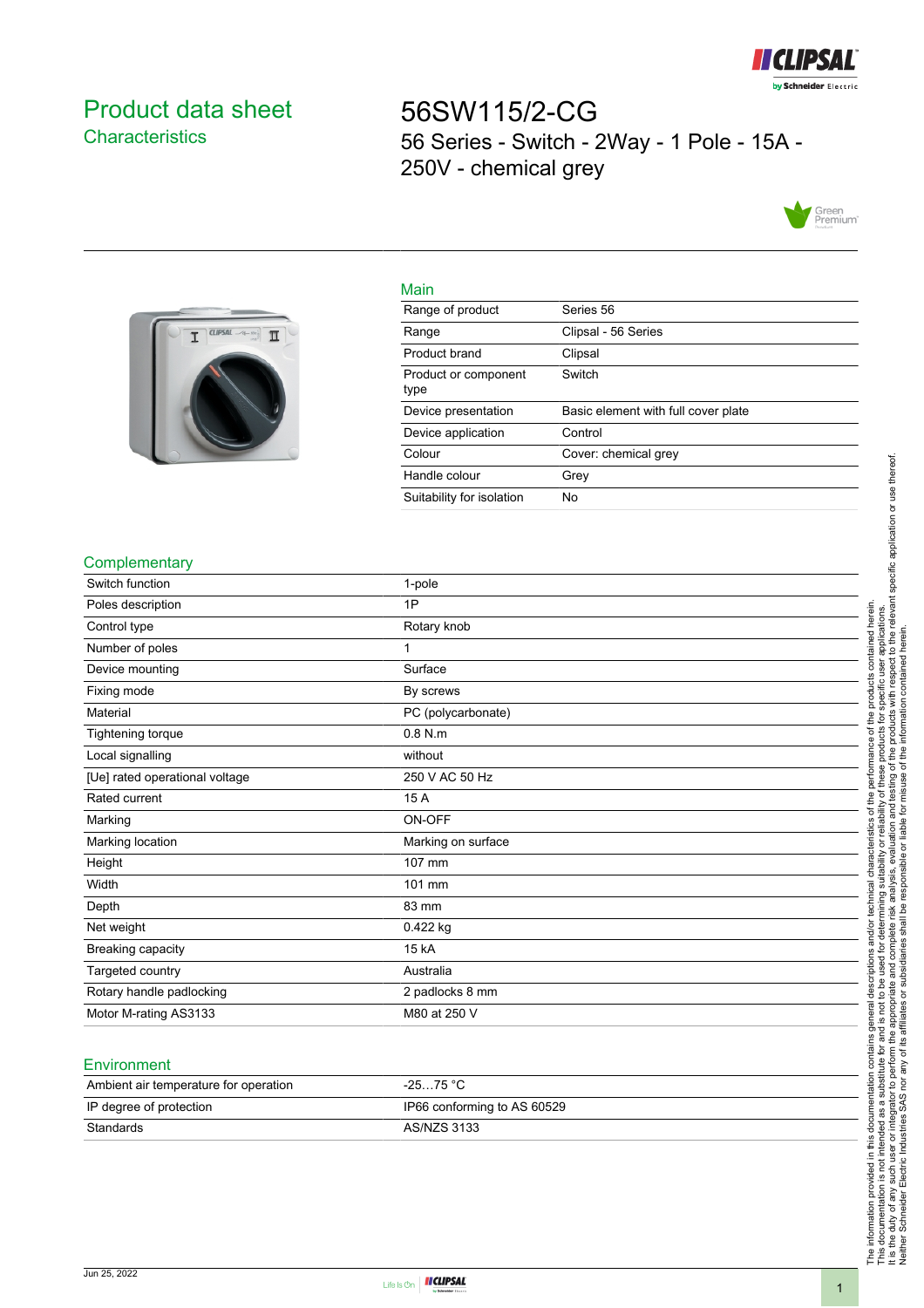

# <span id="page-0-0"></span>Product data sheet **Characteristics**

56SW115/2-CG 56 Series - Switch - 2Way - 1 Pole - 15A - 250V - chemical grey





|     | ٠ |
|-----|---|
| . . |   |

| 111111                       |                                     |
|------------------------------|-------------------------------------|
| Range of product             | Series 56                           |
| Range                        | Clipsal - 56 Series                 |
| Product brand                | Clipsal                             |
| Product or component<br>type | Switch                              |
|                              |                                     |
| Device presentation          | Basic element with full cover plate |
| Device application           | Control                             |
| Colour                       | Cover: chemical grey                |
| Handle colour                | Grey                                |
| Suitability for isolation    | No                                  |

#### **Complementary**

| <u></u>                        |                    |
|--------------------------------|--------------------|
| Switch function                | 1-pole             |
| Poles description              | 1P                 |
| Control type                   | Rotary knob        |
| Number of poles                | 1                  |
| Device mounting                | Surface            |
| Fixing mode                    | By screws          |
| Material                       | PC (polycarbonate) |
| Tightening torque              | $0.8$ N.m          |
| Local signalling               | without            |
| [Ue] rated operational voltage | 250 V AC 50 Hz     |
| Rated current                  | 15 A               |
| Marking                        | ON-OFF             |
| Marking location               | Marking on surface |
| Height                         | 107 mm             |
| Width                          | 101 mm             |
| Depth                          | 83 mm              |
| Net weight                     | 0.422 kg           |
| Breaking capacity              | 15 kA              |
| Targeted country               | Australia          |
| Rotary handle padlocking       | 2 padlocks 8 mm    |
| Motor M-rating AS3133          | M80 at 250 V       |

## Environment

| Ambient air temperature for operation | $-2575 °C$                  |
|---------------------------------------|-----------------------------|
| IP degree of protection               | IP66 conforming to AS 60529 |
| Standards                             | AS/NZS 3133                 |